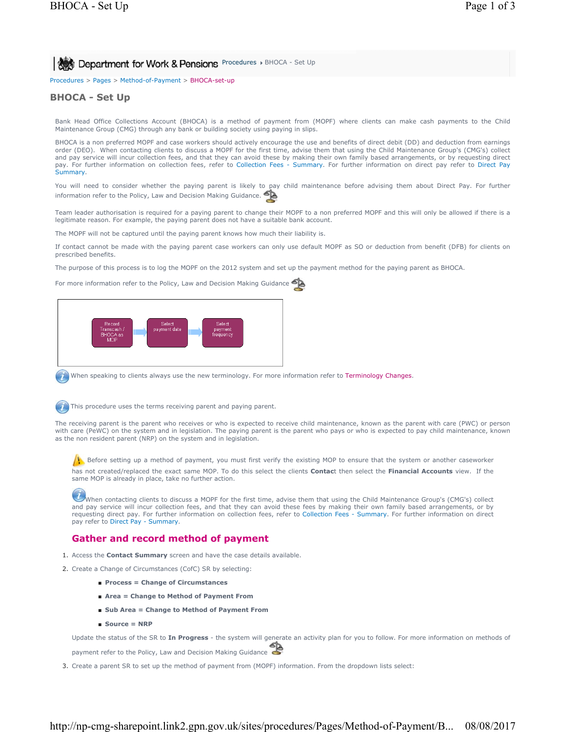Procedures > Pages > Method-of-Payment > BHOCA-set-up

## **BHOCA - Set Up**

Bank Head Office Collections Account (BHOCA) is a method of payment from (MOPF) where clients can make cash payments to the Child Maintenance Group (CMG) through any bank or building society using paying in slips.

BHOCA is a non preferred MOPF and case workers should actively encourage the use and benefits of direct debit (DD) and deduction from earnings order (DEO). When contacting clients to discuss a MOPF for the first time, advise them that using the Child Maintenance Group's (CMG's) collect and pay service will incur collection fees, and that they can avoid these by making their own family based arrangements, or by requesting direct pay. For further information on collection fees, refer to Collection Fees - Summary. For further information on direct pay refer to Direct Pay Summary.

You will need to consider whether the paying parent is likely to pay child maintenance before advising them about Direct Pay. For further information refer to the Policy, Law and Decision Making Guidance.

Team leader authorisation is required for a paying parent to change their MOPF to a non preferred MOPF and this will only be allowed if there is a legitimate reason. For example, the paying parent does not have a suitable bank account.

The MOPF will not be captured until the paying parent knows how much their liability is.

If contact cannot be made with the paying parent case workers can only use default MOPF as SO or deduction from benefit (DFB) for clients on prescribed benefits.

The purpose of this process is to log the MOPF on the 2012 system and set up the payment method for the paying parent as BHOCA.

For more information refer to the Policy, Law and Decision Making Guidance



When speaking to clients always use the new terminology. For more information refer to Terminology Changes.



The receiving parent is the parent who receives or who is expected to receive child maintenance, known as the parent with care (PWC) or person with care (PeWC) on the system and in legislation. The paying parent is the parent who pays or who is expected to pay child maintenance, known as the non resident parent (NRP) on the system and in legislation.

 $\Lambda$  Before setting up a method of payment, you must first verify the existing MOP to ensure that the system or another caseworker

has not created/replaced the exact same MOP. To do this select the clients **Contac**t then select the **Financial Accounts** view. If the same MOP is already in place, take no further action.

When contacting clients to discuss a MOPF for the first time, advise them that using the Child Maintenance Group's (CMG's) collect and pay service will incur collection fees, and that they can avoid these fees by making their own family based arrangements, or by requesting direct pay. For further information on collection fees, refer to Collection Fees - Summary. For further information on direct pay refer to Direct Pay - Summary.

## **Gather and record method of payment**

- 1. Access the **Contact Summary** screen and have the case details available.
- 2. Create a Change of Circumstances (CofC) SR by selecting:
	- **Process = Change of Circumstances**
	- **Area = Change to Method of Payment From**
	- Sub Area = Change to Method of Payment From
	- **Source = NRP**

Update the status of the SR to **In Progress** - the system will generate an activity plan for you to follow. For more information on methods of

payment refer to the Policy, Law and Decision Making Guidance

3. Create a parent SR to set up the method of payment from (MOPF) information. From the dropdown lists select: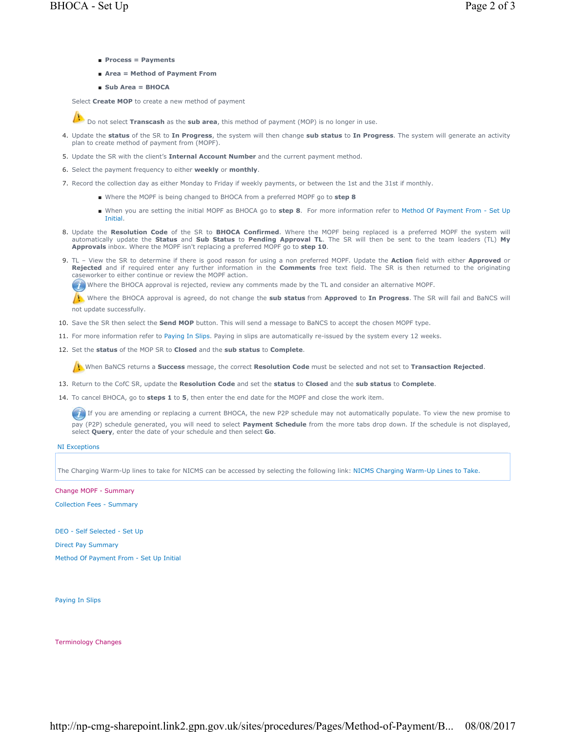- **Process = Payments**
- Area = Method of Payment From
- **Sub Area = BHOCA**

Select **Create MOP** to create a new method of payment



**Do not select Transcash** as the **sub area**, this method of payment (MOP) is no longer in use.

- Update the **status** of the SR to **In Progress**, the system will then change **sub status** to **In Progress**. The system will generate an activity 4. plan to create method of payment from (MOPF).
- 5. Update the SR with the client's **Internal Account Number** and the current payment method.
- 6. Select the payment frequency to either **weekly** or **monthly**.
- 7. Record the collection day as either Monday to Friday if weekly payments, or between the 1st and the 31st if monthly.
	- Where the MOPF is being changed to BHOCA from a preferred MOPF go to step 8
	- When you are setting the initial MOPF as BHOCA go to step 8. For more information refer to Method Of Payment From Set Up Initial.
- 8. Update the Resolution Code of the SR to BHOCA Confirmed. Where the MOPF being replaced is a preferred MOPF the system will automatically update the **Status** and **Sub Status** to **Pending Approval TL**. The SR will then be sent to the team leaders (TL) **My Approvals** inbox. Where the MOPF isn't replacing a preferred MOPF go to **step 10**.
- TL View the SR to determine if there is good reason for using a non preferred MOPF. Update the **Action** field with either **Approved** or 9. **Rejected** and if required enter any further information in the **Comments** free text field. The SR is then returned to the originating caseworker to either continue or review the MOPF action.

Where the BHOCA approval is rejected, review any comments made by the TL and consider an alternative MOPF.

 Where the BHOCA approval is agreed, do not change the **sub status** from **Approved** to **In Progress**. The SR will fail and BaNCS will not update successfully.

- 10. Save the SR then select the **Send MOP** button. This will send a message to BaNCS to accept the chosen MOPF type.
- 11. For more information refer to Paying In Slips. Paying in slips are automatically re-issued by the system every 12 weeks.
- 12. Set the **status** of the MOP SR to **Closed** and the **sub status** to **Complete**.

When BaNCS returns a **Success** message, the correct **Resolution Code** must be selected and not set to **Transaction Rejected**.

- 13. Return to the CofC SR, update the **Resolution Code** and set the **status** to **Closed** and the **sub status** to **Complete**.
- 14. To cancel BHOCA, go to **steps 1** to **5**, then enter the end date for the MOPF and close the work item.

If you are amending or replacing a current BHOCA, the new P2P schedule may not automatically populate. To view the new promise to pay (P2P) schedule generated, you will need to select **Payment Schedule** from the more tabs drop down. If the schedule is not displayed, select **Query**, enter the date of your schedule and then select **Go**.

## NI Exceptions

The Charging Warm-Up lines to take for NICMS can be accessed by selecting the following link: NICMS Charging Warm-Up Lines to Take.

Change MOPF - Summary

Collection Fees - Summary

DEO - Self Selected - Set Up

Direct Pay Summary

Method Of Payment From - Set Up Initial

Paying In Slips

Terminology Changes